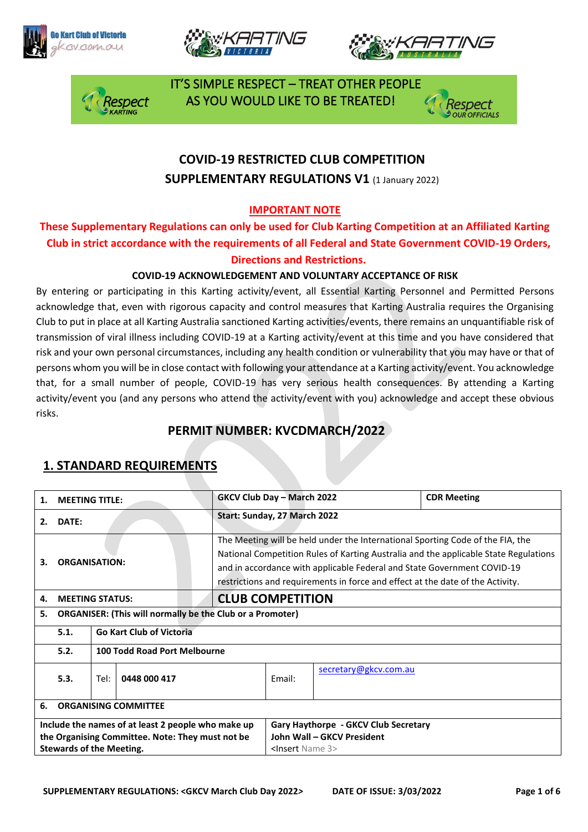







 IT'S SIMPLE RESPECT – TREAT OTHER PEOPLE AS YOU WOULD LIKE TO BE TREATED!



## **COVID-19 RESTRICTED CLUB COMPETITION SUPPLEMENTARY REGULATIONS V1 (1 January 2022)**

#### **IMPORTANT NOTE**

**These Supplementary Regulations can only be used for Club Karting Competition at an Affiliated Karting Club in strict accordance with the requirements of all Federal and State Government COVID-19 Orders, Directions and Restrictions.** 

#### **COVID-19 ACKNOWLEDGEMENT AND VOLUNTARY ACCEPTANCE OF RISK**

By entering or participating in this Karting activity/event, all Essential Karting Personnel and Permitted Persons acknowledge that, even with rigorous capacity and control measures that Karting Australia requires the Organising Club to put in place at all Karting Australia sanctioned Karting activities/events, there remains an unquantifiable risk of transmission of viral illness including COVID-19 at a Karting activity/event at this time and you have considered that risk and your own personal circumstances, including any health condition or vulnerability that you may have or that of persons whom you will be in close contact with following your attendance at a Karting activity/event. You acknowledge that, for a small number of people, COVID-19 has very serious health consequences. By attending a Karting activity/event you (and any persons who attend the activity/event with you) acknowledge and accept these obvious risks.

### **PERMIT NUMBER: KVCDMARCH/2022**

| 1.                                                 | <b>MEETING TITLE:</b>       |                                                                  |                                      | <b>GKCV Club Day - March 2022</b>                                                                                                                                                                                                                                                                                                   |                       |  | <b>CDR Meeting</b> |
|----------------------------------------------------|-----------------------------|------------------------------------------------------------------|--------------------------------------|-------------------------------------------------------------------------------------------------------------------------------------------------------------------------------------------------------------------------------------------------------------------------------------------------------------------------------------|-----------------------|--|--------------------|
| 2.                                                 | DATE:                       |                                                                  |                                      | Start: Sunday, 27 March 2022                                                                                                                                                                                                                                                                                                        |                       |  |                    |
| З.                                                 | <b>ORGANISATION:</b>        |                                                                  |                                      | The Meeting will be held under the International Sporting Code of the FIA, the<br>National Competition Rules of Karting Australia and the applicable State Regulations<br>and in accordance with applicable Federal and State Government COVID-19<br>restrictions and requirements in force and effect at the date of the Activity. |                       |  |                    |
| 4.                                                 | <b>MEETING STATUS:</b>      |                                                                  |                                      | <b>CLUB COMPETITION</b>                                                                                                                                                                                                                                                                                                             |                       |  |                    |
| 5.                                                 |                             | <b>ORGANISER: (This will normally be the Club or a Promoter)</b> |                                      |                                                                                                                                                                                                                                                                                                                                     |                       |  |                    |
|                                                    | 5.1.                        |                                                                  | <b>Go Kart Club of Victoria</b>      |                                                                                                                                                                                                                                                                                                                                     |                       |  |                    |
|                                                    | 5.2.                        | 100 Todd Road Port Melbourne                                     |                                      |                                                                                                                                                                                                                                                                                                                                     |                       |  |                    |
|                                                    | 5.3.                        | 0448 000 417<br>Tel:                                             |                                      | Email:                                                                                                                                                                                                                                                                                                                              | secretary@gkcv.com.au |  |                    |
| 6.                                                 | <b>ORGANISING COMMITTEE</b> |                                                                  |                                      |                                                                                                                                                                                                                                                                                                                                     |                       |  |                    |
| Include the names of at least 2 people who make up |                             |                                                                  | Gary Haythorpe - GKCV Club Secretary |                                                                                                                                                                                                                                                                                                                                     |                       |  |                    |
| the Organising Committee. Note: They must not be   |                             |                                                                  | John Wall - GKCV President           |                                                                                                                                                                                                                                                                                                                                     |                       |  |                    |
| <b>Stewards of the Meeting.</b>                    |                             |                                                                  | <lnsert 3="" name=""></lnsert>       |                                                                                                                                                                                                                                                                                                                                     |                       |  |                    |

### **1. STANDARD REQUIREMENTS**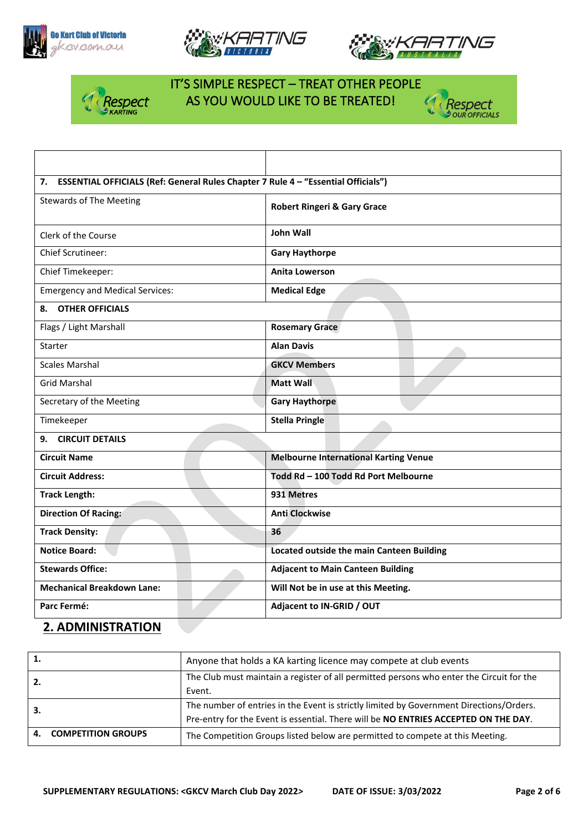







## IT'S SIMPLE RESPECT – TREAT OTHER PEOPLE **Respect AS YOU WOULD LIKE TO BE TREATED!**<br>PKARTING



| 7. ESSENTIAL OFFICIALS (Ref: General Rules Chapter 7 Rule 4 - "Essential Officials") |                                                  |  |  |  |
|--------------------------------------------------------------------------------------|--------------------------------------------------|--|--|--|
| <b>Stewards of The Meeting</b>                                                       | <b>Robert Ringeri &amp; Gary Grace</b>           |  |  |  |
| Clerk of the Course                                                                  | <b>John Wall</b>                                 |  |  |  |
| Chief Scrutineer:                                                                    | <b>Gary Haythorpe</b>                            |  |  |  |
| Chief Timekeeper:                                                                    | <b>Anita Lowerson</b>                            |  |  |  |
| <b>Emergency and Medical Services:</b>                                               | <b>Medical Edge</b>                              |  |  |  |
| <b>OTHER OFFICIALS</b><br>8.                                                         |                                                  |  |  |  |
| Flags / Light Marshall                                                               | <b>Rosemary Grace</b>                            |  |  |  |
| Starter                                                                              | <b>Alan Davis</b>                                |  |  |  |
| <b>Scales Marshal</b>                                                                | <b>GKCV Members</b>                              |  |  |  |
| <b>Grid Marshal</b>                                                                  | <b>Matt Wall</b>                                 |  |  |  |
| Secretary of the Meeting                                                             | <b>Gary Haythorpe</b>                            |  |  |  |
| Timekeeper                                                                           | <b>Stella Pringle</b>                            |  |  |  |
| 9. CIRCUIT DETAILS                                                                   |                                                  |  |  |  |
| <b>Circuit Name</b>                                                                  | <b>Melbourne International Karting Venue</b>     |  |  |  |
| <b>Circuit Address:</b>                                                              | Todd Rd - 100 Todd Rd Port Melbourne             |  |  |  |
| <b>Track Length:</b>                                                                 | 931 Metres                                       |  |  |  |
| <b>Direction Of Racing:</b>                                                          | <b>Anti Clockwise</b>                            |  |  |  |
| <b>Track Density:</b>                                                                | 36                                               |  |  |  |
| <b>Notice Board:</b>                                                                 | <b>Located outside the main Canteen Building</b> |  |  |  |
| <b>Stewards Office:</b>                                                              | <b>Adjacent to Main Canteen Building</b>         |  |  |  |
| <b>Mechanical Breakdown Lane:</b>                                                    | Will Not be in use at this Meeting.              |  |  |  |
| Parc Fermé:                                                                          | Adjacent to IN-GRID / OUT                        |  |  |  |

### **2. ADMINISTRATION**

|    |                       | Anyone that holds a KA karting licence may compete at club events                        |
|----|-----------------------|------------------------------------------------------------------------------------------|
| 2. |                       | The Club must maintain a register of all permitted persons who enter the Circuit for the |
|    |                       | Event.                                                                                   |
| З. |                       | The number of entries in the Event is strictly limited by Government Directions/Orders.  |
|    |                       | Pre-entry for the Event is essential. There will be NO ENTRIES ACCEPTED ON THE DAY.      |
|    | 4. COMPETITION GROUPS | The Competition Groups listed below are permitted to compete at this Meeting.            |
|    |                       |                                                                                          |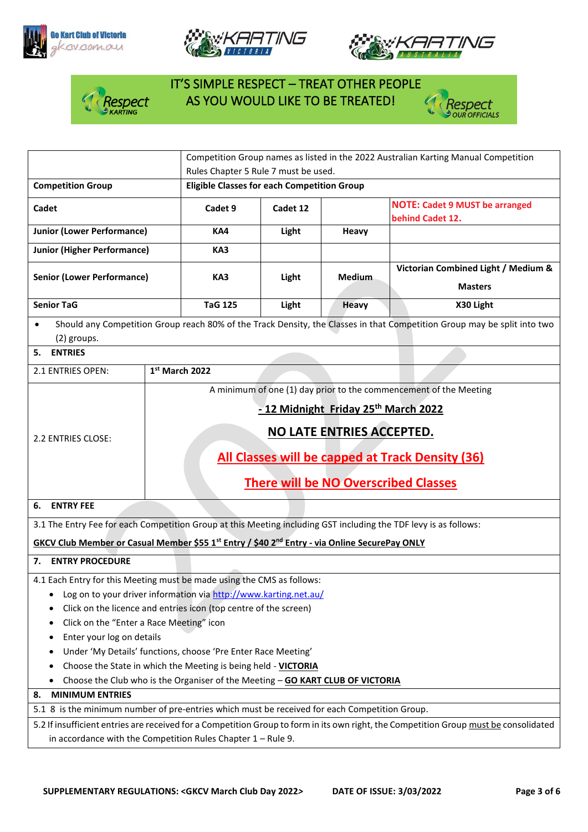







# IT'S SIMPLE RESPECT – TREAT OTHER PEOPLE **Asspect AS YOU WOULD LIKE TO BE TREATED!**



|                                                                                                                                       |                                                                                                                          | Competition Group names as listed in the 2022 Australian Karting Manual Competition |               |                                                                   |  |  |
|---------------------------------------------------------------------------------------------------------------------------------------|--------------------------------------------------------------------------------------------------------------------------|-------------------------------------------------------------------------------------|---------------|-------------------------------------------------------------------|--|--|
|                                                                                                                                       |                                                                                                                          | Rules Chapter 5 Rule 7 must be used.                                                |               |                                                                   |  |  |
| <b>Competition Group</b>                                                                                                              |                                                                                                                          | <b>Eligible Classes for each Competition Group</b>                                  |               |                                                                   |  |  |
| Cadet                                                                                                                                 | Cadet 9                                                                                                                  | Cadet 12                                                                            |               | <b>NOTE: Cadet 9 MUST be arranged</b><br>behind Cadet 12.         |  |  |
| <b>Junior (Lower Performance)</b>                                                                                                     | KA4                                                                                                                      | Light                                                                               | Heavy         |                                                                   |  |  |
| <b>Junior (Higher Performance)</b>                                                                                                    | KA3                                                                                                                      |                                                                                     |               |                                                                   |  |  |
|                                                                                                                                       |                                                                                                                          |                                                                                     |               | Victorian Combined Light / Medium &                               |  |  |
| <b>Senior (Lower Performance)</b>                                                                                                     | KA3                                                                                                                      | Light                                                                               | <b>Medium</b> | <b>Masters</b>                                                    |  |  |
| <b>Senior TaG</b>                                                                                                                     | <b>TaG 125</b>                                                                                                           | Light                                                                               | <b>Heavy</b>  | X30 Light                                                         |  |  |
| $\bullet$<br>(2) groups.                                                                                                              | Should any Competition Group reach 80% of the Track Density, the Classes in that Competition Group may be split into two |                                                                                     |               |                                                                   |  |  |
| <b>ENTRIES</b><br>5.                                                                                                                  |                                                                                                                          |                                                                                     |               |                                                                   |  |  |
| 2.1 ENTRIES OPEN:                                                                                                                     | 1st March 2022                                                                                                           |                                                                                     |               |                                                                   |  |  |
|                                                                                                                                       |                                                                                                                          |                                                                                     |               | A minimum of one (1) day prior to the commencement of the Meeting |  |  |
|                                                                                                                                       | - 12 Midnight Friday 25th March 2022                                                                                     |                                                                                     |               |                                                                   |  |  |
|                                                                                                                                       |                                                                                                                          |                                                                                     |               |                                                                   |  |  |
| 2.2 ENTRIES CLOSE:                                                                                                                    | NO LATE ENTRIES ACCEPTED.                                                                                                |                                                                                     |               |                                                                   |  |  |
|                                                                                                                                       | All Classes will be capped at Track Density (36)                                                                         |                                                                                     |               |                                                                   |  |  |
|                                                                                                                                       |                                                                                                                          |                                                                                     |               |                                                                   |  |  |
|                                                                                                                                       | <b>There will be NO Overscribed Classes</b>                                                                              |                                                                                     |               |                                                                   |  |  |
| <b>ENTRY FEE</b><br>6.                                                                                                                |                                                                                                                          |                                                                                     |               |                                                                   |  |  |
|                                                                                                                                       | 3.1 The Entry Fee for each Competition Group at this Meeting including GST including the TDF levy is as follows:         |                                                                                     |               |                                                                   |  |  |
| GKCV Club Member or Casual Member \$55 1 <sup>st</sup> Entry / \$40 2 <sup>nd</sup> Entry - via Online SecurePay ONLY                 |                                                                                                                          |                                                                                     |               |                                                                   |  |  |
| 7. ENTRY PROCEDURE                                                                                                                    |                                                                                                                          |                                                                                     |               |                                                                   |  |  |
|                                                                                                                                       |                                                                                                                          |                                                                                     |               |                                                                   |  |  |
| 4.1 Each Entry for this Meeting must be made using the CMS as follows:                                                                |                                                                                                                          |                                                                                     |               |                                                                   |  |  |
| Log on to your driver information via http://www.karting.net.au/<br>Click on the licence and entries icon (top centre of the screen)  |                                                                                                                          |                                                                                     |               |                                                                   |  |  |
| Click on the "Enter a Race Meeting" icon                                                                                              |                                                                                                                          |                                                                                     |               |                                                                   |  |  |
| Enter your log on details                                                                                                             |                                                                                                                          |                                                                                     |               |                                                                   |  |  |
| Under 'My Details' functions, choose 'Pre Enter Race Meeting'                                                                         |                                                                                                                          |                                                                                     |               |                                                                   |  |  |
| Choose the State in which the Meeting is being held - VICTORIA                                                                        |                                                                                                                          |                                                                                     |               |                                                                   |  |  |
| Choose the Club who is the Organiser of the Meeting - GO KART CLUB OF VICTORIA<br>٠                                                   |                                                                                                                          |                                                                                     |               |                                                                   |  |  |
| <b>MINIMUM ENTRIES</b><br>8.                                                                                                          |                                                                                                                          |                                                                                     |               |                                                                   |  |  |
|                                                                                                                                       | 5.1 8 is the minimum number of pre-entries which must be received for each Competition Group.                            |                                                                                     |               |                                                                   |  |  |
| 5.2 If insufficient entries are received for a Competition Group to form in its own right, the Competition Group must be consolidated |                                                                                                                          |                                                                                     |               |                                                                   |  |  |
| in accordance with the Competition Rules Chapter $1 -$ Rule 9.                                                                        |                                                                                                                          |                                                                                     |               |                                                                   |  |  |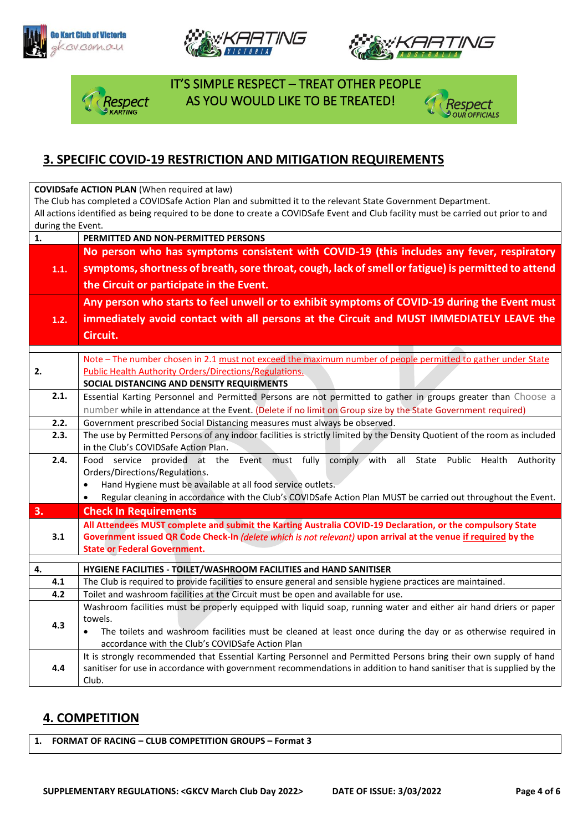







 IT'S SIMPLE RESPECT – TREAT OTHER PEOPLE spect AS YOU WOULD LIKE TO BE TREATED!



### **3. SPECIFIC COVID-19 RESTRICTION AND MITIGATION REQUIREMENTS**

**COVIDSafe ACTION PLAN** (When required at law)

The Club has completed a COVIDSafe Action Plan and submitted it to the relevant State Government Department. All actions identified as being required to be done to create a COVIDSafe Event and Club facility must be carried out prior to and during the Event.

| $\mathbf{1}$ . | PERMITTED AND NON-PERMITTED PERSONS                                                                                                                                                                                           |  |  |  |  |  |
|----------------|-------------------------------------------------------------------------------------------------------------------------------------------------------------------------------------------------------------------------------|--|--|--|--|--|
|                | No person who has symptoms consistent with COVID-19 (this includes any fever, respiratory<br>symptoms, shortness of breath, sore throat, cough, lack of smell or fatigue) is permitted to attend                              |  |  |  |  |  |
| 1.1.           |                                                                                                                                                                                                                               |  |  |  |  |  |
|                | the Circuit or participate in the Event.                                                                                                                                                                                      |  |  |  |  |  |
|                |                                                                                                                                                                                                                               |  |  |  |  |  |
|                | Any person who starts to feel unwell or to exhibit symptoms of COVID-19 during the Event must                                                                                                                                 |  |  |  |  |  |
| 1.2.           | immediately avoid contact with all persons at the Circuit and MUST IMMEDIATELY LEAVE the                                                                                                                                      |  |  |  |  |  |
|                | Circuit.                                                                                                                                                                                                                      |  |  |  |  |  |
|                |                                                                                                                                                                                                                               |  |  |  |  |  |
|                | Note - The number chosen in 2.1 must not exceed the maximum number of people permitted to gather under State                                                                                                                  |  |  |  |  |  |
| 2.             | <b>Public Health Authority Orders/Directions/Regulations.</b>                                                                                                                                                                 |  |  |  |  |  |
| 2.1.           | SOCIAL DISTANCING AND DENSITY REQUIRMENTS                                                                                                                                                                                     |  |  |  |  |  |
|                | Essential Karting Personnel and Permitted Persons are not permitted to gather in groups greater than Choose a<br>number while in attendance at the Event. (Delete if no limit on Group size by the State Government required) |  |  |  |  |  |
| 2.2.           |                                                                                                                                                                                                                               |  |  |  |  |  |
| 2.3.           | Government prescribed Social Distancing measures must always be observed.<br>The use by Permitted Persons of any indoor facilities is strictly limited by the Density Quotient of the room as included                        |  |  |  |  |  |
|                | in the Club's COVIDSafe Action Plan.                                                                                                                                                                                          |  |  |  |  |  |
| 2.4.           | Food service provided at the Event must fully comply with all State Public Health Authority                                                                                                                                   |  |  |  |  |  |
|                | Orders/Directions/Regulations.                                                                                                                                                                                                |  |  |  |  |  |
|                | Hand Hygiene must be available at all food service outlets.<br>$\bullet$                                                                                                                                                      |  |  |  |  |  |
|                | Regular cleaning in accordance with the Club's COVIDSafe Action Plan MUST be carried out throughout the Event.<br>$\bullet$                                                                                                   |  |  |  |  |  |
| 3.             | <b>Check In Requirements</b>                                                                                                                                                                                                  |  |  |  |  |  |
|                | All Attendees MUST complete and submit the Karting Australia COVID-19 Declaration, or the compulsory State                                                                                                                    |  |  |  |  |  |
| 3.1            | Government issued QR Code Check-In (delete which is not relevant) upon arrival at the venue if required by the                                                                                                                |  |  |  |  |  |
|                | <b>State or Federal Government.</b>                                                                                                                                                                                           |  |  |  |  |  |
| 4.             | HYGIENE FACILITIES - TOILET/WASHROOM FACILITIES and HAND SANITISER                                                                                                                                                            |  |  |  |  |  |
| 4.1            | The Club is required to provide facilities to ensure general and sensible hygiene practices are maintained.                                                                                                                   |  |  |  |  |  |
| 4.2            | Toilet and washroom facilities at the Circuit must be open and available for use.                                                                                                                                             |  |  |  |  |  |
|                | Washroom facilities must be properly equipped with liquid soap, running water and either air hand driers or paper                                                                                                             |  |  |  |  |  |
| 4.3            | towels.                                                                                                                                                                                                                       |  |  |  |  |  |
|                | The toilets and washroom facilities must be cleaned at least once during the day or as otherwise required in<br>$\bullet$                                                                                                     |  |  |  |  |  |
|                | accordance with the Club's COVIDSafe Action Plan                                                                                                                                                                              |  |  |  |  |  |
|                | It is strongly recommended that Essential Karting Personnel and Permitted Persons bring their own supply of hand                                                                                                              |  |  |  |  |  |
| 4.4            | sanitiser for use in accordance with government recommendations in addition to hand sanitiser that is supplied by the                                                                                                         |  |  |  |  |  |
|                | Club.                                                                                                                                                                                                                         |  |  |  |  |  |

### **4. COMPETITION**

**1. FORMAT OF RACING – CLUB COMPETITION GROUPS – Format 3**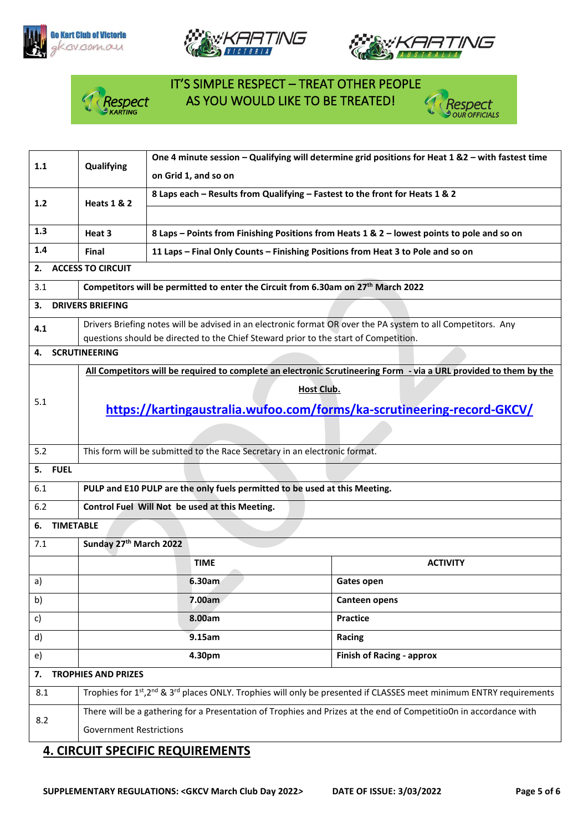





## IT'S SIMPLE RESPECT – TREAT OTHER PEOPLE **Respect AS YOU WOULD LIKE TO BE TREATED!**<br>PKARTING



| 1.1                              | Qualifying                                                                                                                                  | One 4 minute session - Qualifying will determine grid positions for Heat 1 &2 - with fastest time |                                                                                                                   |  |  |  |
|----------------------------------|---------------------------------------------------------------------------------------------------------------------------------------------|---------------------------------------------------------------------------------------------------|-------------------------------------------------------------------------------------------------------------------|--|--|--|
|                                  |                                                                                                                                             | on Grid 1, and so on                                                                              |                                                                                                                   |  |  |  |
| 1.2                              | <b>Heats 1 &amp; 2</b>                                                                                                                      | 8 Laps each - Results from Qualifying - Fastest to the front for Heats 1 & 2                      |                                                                                                                   |  |  |  |
|                                  |                                                                                                                                             |                                                                                                   |                                                                                                                   |  |  |  |
| 1.3                              | Heat 3<br>8 Laps - Points from Finishing Positions from Heats 1 & 2 - lowest points to pole and so on                                       |                                                                                                   |                                                                                                                   |  |  |  |
| 1.4                              | Final                                                                                                                                       | 11 Laps - Final Only Counts - Finishing Positions from Heat 3 to Pole and so on                   |                                                                                                                   |  |  |  |
| 2.                               | <b>ACCESS TO CIRCUIT</b>                                                                                                                    |                                                                                                   |                                                                                                                   |  |  |  |
| 3.1                              | Competitors will be permitted to enter the Circuit from 6.30am on 27 <sup>th</sup> March 2022                                               |                                                                                                   |                                                                                                                   |  |  |  |
| 3.                               | <b>DRIVERS BRIEFING</b>                                                                                                                     |                                                                                                   |                                                                                                                   |  |  |  |
| 4.1                              |                                                                                                                                             |                                                                                                   | Drivers Briefing notes will be advised in an electronic format OR over the PA system to all Competitors. Any      |  |  |  |
|                                  | questions should be directed to the Chief Steward prior to the start of Competition.                                                        |                                                                                                   |                                                                                                                   |  |  |  |
|                                  | <b>SCRUTINEERING</b><br>4.                                                                                                                  |                                                                                                   |                                                                                                                   |  |  |  |
|                                  |                                                                                                                                             |                                                                                                   | All Competitors will be required to complete an electronic Scrutineering Form - via a URL provided to them by the |  |  |  |
|                                  |                                                                                                                                             | <b>Host Club.</b>                                                                                 |                                                                                                                   |  |  |  |
| 5.1                              |                                                                                                                                             | https://kartingaustralia.wufoo.com/forms/ka-scrutineering-record-GKCV/                            |                                                                                                                   |  |  |  |
|                                  |                                                                                                                                             |                                                                                                   |                                                                                                                   |  |  |  |
| 5.2                              | This form will be submitted to the Race Secretary in an electronic format.                                                                  |                                                                                                   |                                                                                                                   |  |  |  |
| <b>FUEL</b><br>5.                |                                                                                                                                             |                                                                                                   |                                                                                                                   |  |  |  |
| 6.1                              | PULP and E10 PULP are the only fuels permitted to be used at this Meeting.                                                                  |                                                                                                   |                                                                                                                   |  |  |  |
| 6.2                              |                                                                                                                                             | Control Fuel Will Not be used at this Meeting.                                                    |                                                                                                                   |  |  |  |
| <b>TIMETABLE</b><br>6.           |                                                                                                                                             |                                                                                                   |                                                                                                                   |  |  |  |
| 7.1                              | Sunday 27th March 2022                                                                                                                      |                                                                                                   |                                                                                                                   |  |  |  |
|                                  |                                                                                                                                             | <b>TIME</b>                                                                                       | <b>ACTIVITY</b>                                                                                                   |  |  |  |
| a)                               |                                                                                                                                             | 6.30am                                                                                            | Gates open                                                                                                        |  |  |  |
| b)                               |                                                                                                                                             | 7.00am                                                                                            | Canteen opens                                                                                                     |  |  |  |
| c)                               | 8.00am<br><b>Practice</b>                                                                                                                   |                                                                                                   |                                                                                                                   |  |  |  |
| d)                               | 9.15am<br>Racing                                                                                                                            |                                                                                                   |                                                                                                                   |  |  |  |
| e)                               | 4.30pm<br><b>Finish of Racing - approx</b>                                                                                                  |                                                                                                   |                                                                                                                   |  |  |  |
| <b>TROPHIES AND PRIZES</b><br>7. |                                                                                                                                             |                                                                                                   |                                                                                                                   |  |  |  |
| 8.1                              | Trophies for 1st, 2 <sup>nd</sup> & 3 <sup>rd</sup> places ONLY. Trophies will only be presented if CLASSES meet minimum ENTRY requirements |                                                                                                   |                                                                                                                   |  |  |  |
|                                  | There will be a gathering for a Presentation of Trophies and Prizes at the end of CompetitioOn in accordance with                           |                                                                                                   |                                                                                                                   |  |  |  |
| 8.2                              | <b>Government Restrictions</b>                                                                                                              |                                                                                                   |                                                                                                                   |  |  |  |
|                                  |                                                                                                                                             |                                                                                                   |                                                                                                                   |  |  |  |

#### **4. CIRCUIT SPECIFIC REQUIREMENTS**